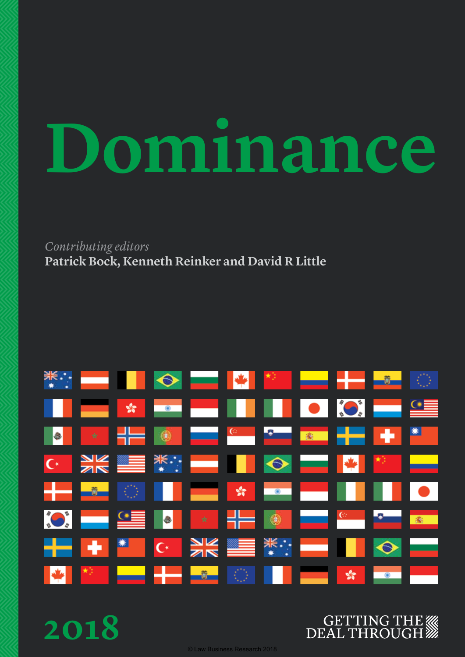# **Dominance**

*Contributing editors* **Patrick Bock, Kenneth Reinker and David R Little**



**2018**



© Law Business Research 2018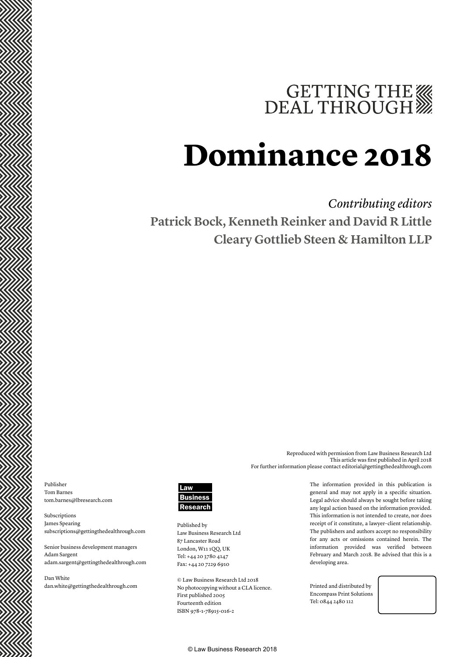# GETTING THE WE DEAL THROUGH

# **Dominance 2018**

### *Contributing editors* **Patrick Bock, Kenneth Reinker and David R Little Cleary Gottlieb Steen & Hamilton LLP**

Publisher Tom Barnes tom.barnes@lbresearch.com

Subscriptions James Spearing subscriptions@gettingthedealthrough.com

Senior business development managers Adam Sargent adam.sargent@gettingthedealthrough.com

Dan White dan.white@gettingthedealthrough.com



Published by Law Business Research Ltd 87 Lancaster Road London, W11 1QQ, UK Tel: +44 20 3780 4147 Fax: +44 20 7229 6910

© Law Business Research Ltd 2018 No photocopying without a CLA licence. First published 2005 Fourteenth edition ISBN 978-1-78915-016-2

The information provided in this publication is general and may not apply in a specific situation. Legal advice should always be sought before taking any legal action based on the information provided. This information is not intended to create, nor does receipt of it constitute, a lawyer–client relationship. The publishers and authors accept no responsibility

Reproduced with permission from Law Business Research Ltd

For further information please contact editorial@gettingthedealthrough.com

This article was first published in April 2018

for any acts or omissions contained herein. The information provided was verified between February and March 2018. Be advised that this is a developing area.

Printed and distributed by Encompass Print Solutions Tel: 0844 2480 112



© Law Business Research 2018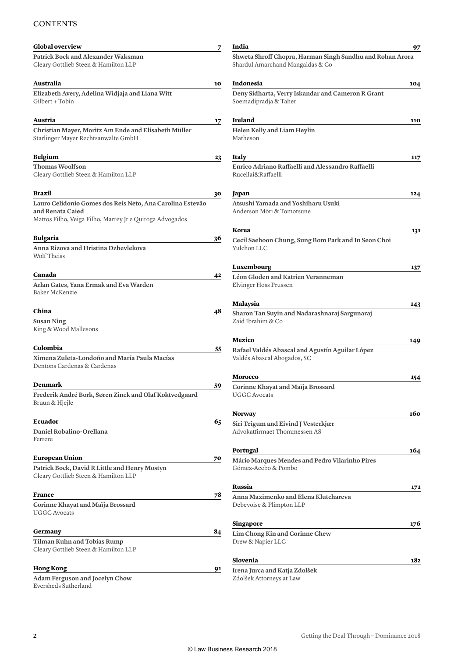#### **CONTENTS**

| <b>Global overview</b>                                                                                                                    | 7  | India                                                                                         | 97  |
|-------------------------------------------------------------------------------------------------------------------------------------------|----|-----------------------------------------------------------------------------------------------|-----|
| Patrick Bock and Alexander Waksman<br>Cleary Gottlieb Steen & Hamilton LLP                                                                |    | Shweta Shroff Chopra, Harman Singh Sandhu and Rohan Arora<br>Shardul Amarchand Mangaldas & Co |     |
| Australia                                                                                                                                 | 10 | Indonesia                                                                                     | 104 |
| Elizabeth Avery, Adelina Widjaja and Liana Witt<br>Gilbert + Tobin                                                                        |    | Deny Sidharta, Verry Iskandar and Cameron R Grant<br>Soemadipradja & Taher                    |     |
| Austria                                                                                                                                   | 17 | <b>Ireland</b>                                                                                | 110 |
| Christian Mayer, Moritz Am Ende and Elisabeth Müller<br>Starlinger Mayer Rechtsanwälte GmbH                                               |    | Helen Kelly and Liam Heylin<br>Matheson                                                       |     |
| Belgium                                                                                                                                   | 23 | Italy                                                                                         | 117 |
| Thomas Woolfson<br>Cleary Gottlieb Steen & Hamilton LLP                                                                                   |    | Enrico Adriano Raffaelli and Alessandro Raffaelli<br>Rucellai&Raffaelli                       |     |
| Brazil                                                                                                                                    | 30 | Japan                                                                                         | 124 |
| Lauro Celidonio Gomes dos Reis Neto, Ana Carolina Estevão<br>and Renata Caied<br>Mattos Filho, Veiga Filho, Marrey Jr e Quiroga Advogados |    | Atsushi Yamada and Yoshiharu Usuki<br>Anderson Möri & Tomotsune                               |     |
|                                                                                                                                           |    | Korea                                                                                         | 131 |
| Bulgaria<br>Anna Rizova and Hristina Dzhevlekova<br>Wolf Theiss                                                                           | 36 | Cecil Saehoon Chung, Sung Bom Park and In Seon Choi<br>Yulchon LLC                            |     |
|                                                                                                                                           |    | Luxembourg                                                                                    | 137 |
| Canada<br>Arlan Gates, Yana Ermak and Eva Warden<br>Baker McKenzie                                                                        | 42 | Léon Gloden and Katrien Veranneman<br>Elvinger Hoss Prussen                                   |     |
|                                                                                                                                           |    | <b>Malaysia</b>                                                                               | 143 |
| China                                                                                                                                     | 48 | Sharon Tan Suyin and Nadarashnaraj Sargunaraj                                                 |     |
| Susan Ning<br>King & Wood Mallesons                                                                                                       |    | Zaid Ibrahim & Co                                                                             |     |
| Colombia                                                                                                                                  | 55 | Mexico                                                                                        | 149 |
| Ximena Zuleta-Londoño and María Paula Macías<br>Dentons Cardenas & Cardenas                                                               |    | Rafael Valdés Abascal and Agustín Aguilar López<br>Valdés Abascal Abogados, SC                |     |
|                                                                                                                                           |    | <b>Morocco</b>                                                                                | 154 |
| Denmark<br>Frederik André Bork, Søren Zinck and Olaf Koktvedgaard<br>Bruun & Hjejle                                                       | 59 | Corinne Khayat and Maïja Brossard<br><b>UGGC Avocats</b>                                      |     |
|                                                                                                                                           |    | <b>Norway</b>                                                                                 | 160 |
| Ecuador<br>Daniel Robalino-Orellana<br>Ferrere                                                                                            | 65 | Siri Teigum and Eivind J Vesterkjær<br>Advokatfirmaet Thommessen AS                           |     |
|                                                                                                                                           |    | <b>Portugal</b>                                                                               | 164 |
| European Union                                                                                                                            | 70 | Mário Marques Mendes and Pedro Vilarinho Pires                                                |     |
| Patrick Bock, David R Little and Henry Mostyn<br>Cleary Gottlieb Steen & Hamilton LLP                                                     |    | Gómez-Acebo & Pombo                                                                           |     |
| France                                                                                                                                    | 78 | Russia                                                                                        | 171 |
| Corinne Khayat and Maïja Brossard<br><b>UGGC Avocats</b>                                                                                  |    | Anna Maximenko and Elena Klutchareva<br>Debevoise & Plimpton LLP                              |     |
|                                                                                                                                           |    | Singapore                                                                                     | 176 |
| Germany<br>Tilman Kuhn and Tobias Rump<br>Cleary Gottlieb Steen & Hamilton LLP                                                            | 84 | Lim Chong Kin and Corinne Chew<br>Drew & Napier LLC                                           |     |
|                                                                                                                                           |    | Slovenia                                                                                      | 182 |
| Hong Kong                                                                                                                                 | 91 | Irena Jurca and Katja Zdolšek                                                                 |     |
| Adam Ferguson and Jocelyn Chow<br>Eversheds Sutherland                                                                                    |    | Zdolšek Attorneys at Law                                                                      |     |

**Slovenia 182**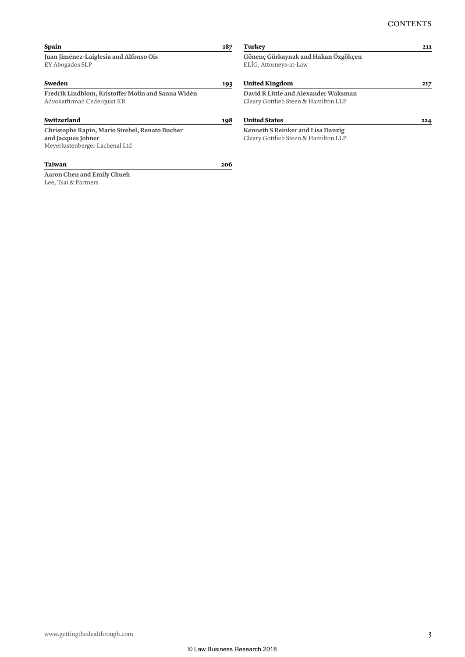| 187 | Turkey                                                        | 211                                  |
|-----|---------------------------------------------------------------|--------------------------------------|
|     | Gönenç Gürkaynak and Hakan Özgökçen<br>ELIG, Attorneys-at-Law |                                      |
| 193 | <b>United Kingdom</b>                                         | 217                                  |
|     | David R Little and Alexander Waksman                          |                                      |
|     | Cleary Gottlieb Steen & Hamilton LLP                          |                                      |
| 198 | <b>United States</b>                                          | 224                                  |
|     | Kenneth S Reinker and Lisa Danzig                             |                                      |
|     |                                                               |                                      |
| 206 |                                                               |                                      |
|     |                                                               |                                      |
|     |                                                               |                                      |
|     |                                                               | Cleary Gottlieb Steen & Hamilton LLP |

www.gettingthedealthrough.com 3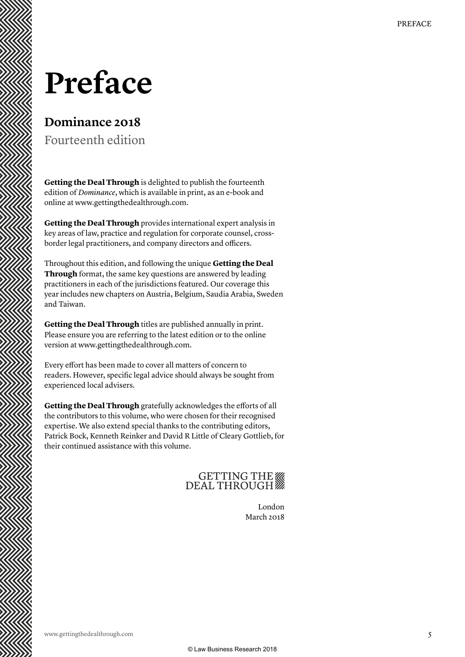### **Preface**

### **Dominance 2018**

Fourteenth edition

**Getting the Deal Through** is delighted to publish the fourteenth edition of *Dominance*, which is available in print, as an e-book and online at www.gettingthedealthrough.com.

**Getting the Deal Through** provides international expert analysis in key areas of law, practice and regulation for corporate counsel, crossborder legal practitioners, and company directors and officers.

Throughout this edition, and following the unique **Getting the Deal Through** format, the same key questions are answered by leading practitioners in each of the jurisdictions featured. Our coverage this year includes new chapters on Austria, Belgium, Saudia Arabia, Sweden and Taiwan.

**Getting the Deal Through** titles are published annually in print. Please ensure you are referring to the latest edition or to the online version at www.gettingthedealthrough.com.

Every effort has been made to cover all matters of concern to readers. However, specific legal advice should always be sought from experienced local advisers.

**Getting the Deal Through** gratefully acknowledges the efforts of all the contributors to this volume, who were chosen for their recognised expertise. We also extend special thanks to the contributing editors, Patrick Bock, Kenneth Reinker and David R Little of Cleary Gottlieb, for their continued assistance with this volume.

### GETTING THE

London March 2018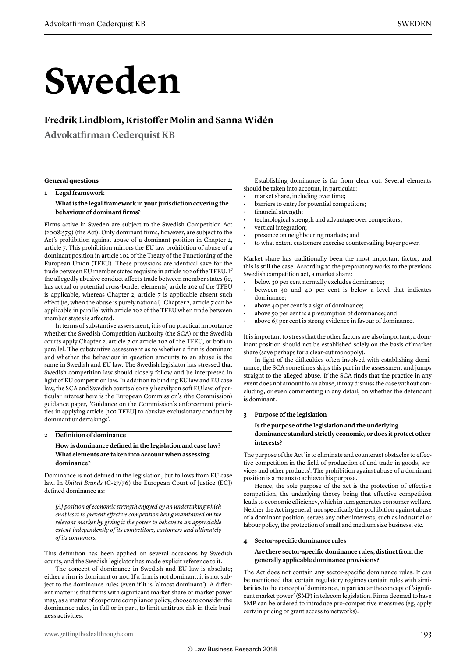# **Sweden**

#### **Fredrik Lindblom, Kristoffer Molin and Sanna Widén**

**Advokatfirman Cederquist KB**

#### **General questions**

**1 Legal framework**

**What is the legal framework in your jurisdiction covering the behaviour of dominant firms?** 

Firms active in Sweden are subject to the Swedish Competition Act (2008:579) (the Act). Only dominant firms, however, are subject to the Act's prohibition against abuse of a dominant position in Chapter 2, article 7. This prohibition mirrors the EU law prohibition of abuse of a dominant position in article 102 of the Treaty of the Functioning of the European Union (TFEU). These provisions are identical save for the trade between EU member states requisite in article 102 of the TFEU. If the allegedly abusive conduct affects trade between member states (ie, has actual or potential cross-border elements) article 102 of the TFEU is applicable, whereas Chapter 2, article 7 is applicable absent such effect (ie, when the abuse is purely national). Chapter 2, article 7 can be applicable in parallel with article 102 of the TFEU when trade between member states is affected.

In terms of substantive assessment, it is of no practical importance whether the Swedish Competition Authority (the SCA) or the Swedish courts apply Chapter 2, article 7 or article 102 of the TFEU, or both in parallel. The substantive assessment as to whether a firm is dominant and whether the behaviour in question amounts to an abuse is the same in Swedish and EU law. The Swedish legislator has stressed that Swedish competition law should closely follow and be interpreted in light of EU competition law. In addition to binding EU law and EU case law, the SCA and Swedish courts also rely heavily on soft EU law, of particular interest here is the European Commission's (the Commission) guidance paper, 'Guidance on the Commission's enforcement priorities in applying article [102 TFEU] to abusive exclusionary conduct by dominant undertakings'.

#### **2 Definition of dominance**

#### **How is dominance defined in the legislation and case law? What elements are taken into account when assessing dominance?**

Dominance is not defined in the legislation, but follows from EU case law. In *United Brands* (C-27/76) the European Court of Justice (ECJ) defined dominance as:

*[A] position of economic strength enjoyed by an undertaking which enables it to prevent effective competition being maintained on the relevant market by giving it the power to behave to an appreciable extent independently of its competitors, customers and ultimately of its consumers.*

This definition has been applied on several occasions by Swedish courts, and the Swedish legislator has made explicit reference to it.

The concept of dominance in Swedish and EU law is absolute; either a firm is dominant or not. If a firm is not dominant, it is not subject to the dominance rules (even if it is 'almost dominant'). A different matter is that firms with significant market share or market power may, as a matter of corporate compliance policy, choose to consider the dominance rules, in full or in part, to limit antitrust risk in their business activities.

Establishing dominance is far from clear cut. Several elements should be taken into account, in particular:

- market share, including over time;
- barriers to entry for potential competitors;
- financial strength;
- technological strength and advantage over competitors;
- vertical integration;
- presence on neighbouring markets; and
- to what extent customers exercise countervailing buyer power.

Market share has traditionally been the most important factor, and this is still the case. According to the preparatory works to the previous Swedish competition act, a market share:

- below 30 per cent normally excludes dominance;
- between 30 and 40 per cent is below a level that indicates dominance;
- above 40 per cent is a sign of dominance;
- above 50 per cent is a presumption of dominance; and
- above 65 per cent is strong evidence in favour of dominance.

It is important to stress that the other factors are also important; a dominant position should not be established solely on the basis of market share (save perhaps for a clear-cut monopoly).

In light of the difficulties often involved with establishing dominance, the SCA sometimes skips this part in the assessment and jumps straight to the alleged abuse. If the SCA finds that the practice in any event does not amount to an abuse, it may dismiss the case without concluding, or even commenting in any detail, on whether the defendant is dominant.

#### **3 Purpose of the legislation**

#### **Is the purpose of the legislation and the underlying dominance standard strictly economic, or does it protect other interests?**

The purpose of the Act 'is to eliminate and counteract obstacles to effective competition in the field of production of and trade in goods, services and other products'. The prohibition against abuse of a dominant position is a means to achieve this purpose.

Hence, the sole purpose of the act is the protection of effective competition, the underlying theory being that effective competition leads to economic efficiency, which in turn generates consumer welfare. Neither the Act in general, nor specifically the prohibition against abuse of a dominant position, serves any other interests, such as industrial or labour policy, the protection of small and medium size business, etc.

#### **4 Sector-specific dominance rules**

#### **Are there sector-specific dominance rules, distinct from the generally applicable dominance provisions?**

The Act does not contain any sector-specific dominance rules. It can be mentioned that certain regulatory regimes contain rules with similarities to the concept of dominance, in particular the concept of 'significant market power' (SMP) in telecom legislation. Firms deemed to have SMP can be ordered to introduce pro-competitive measures (eg, apply certain pricing or grant access to networks).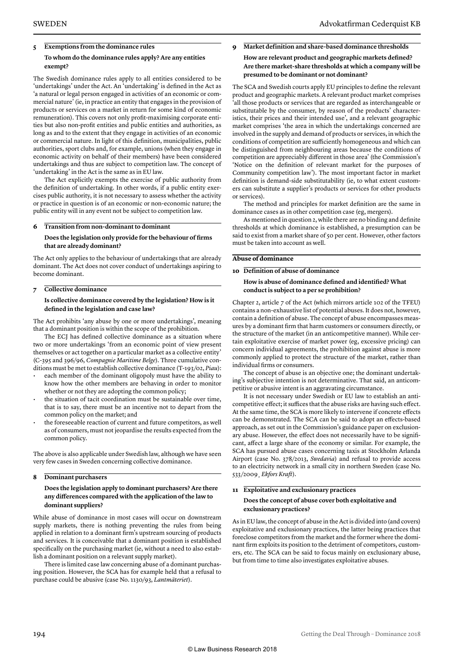#### **5 Exemptions from the dominance rules To whom do the dominance rules apply? Are any entities exempt?**

The Swedish dominance rules apply to all entities considered to be 'undertakings' under the Act. An 'undertaking' is defined in the Act as 'a natural or legal person engaged in activities of an economic or commercial nature' (ie, in practice an entity that engages in the provision of products or services on a market in return for some kind of economic remuneration). This covers not only profit-maximising corporate entities but also non-profit entities and public entities and authorities, as long as and to the extent that they engage in activities of an economic or commercial nature. In light of this definition, municipalities, public authorities, sport clubs and, for example, unions (when they engage in economic activity on behalf of their members) have been considered undertakings and thus are subject to competition law. The concept of 'undertaking' in the Act is the same as in EU law.

The Act explicitly exempts the exercise of public authority from the definition of undertaking. In other words, if a public entity exercises public authority, it is not necessary to assess whether the activity or practice in question is of an economic or non-economic nature; the public entity will in any event not be subject to competition law.

#### **6 Transition from non-dominant to dominant**

#### **Does the legislation only provide for the behaviour of firms that are already dominant?**

The Act only applies to the behaviour of undertakings that are already dominant. The Act does not cover conduct of undertakings aspiring to become dominant.

#### **7 Collective dominance**

#### **Is collective dominance covered by the legislation? How is it defined in the legislation and case law?**

The Act prohibits 'any abuse by one or more undertakings', meaning that a dominant position is within the scope of the prohibition.

The ECJ has defined collective dominance as a situation where two or more undertakings 'from an economic point of view present themselves or act together on a particular market as a collective entity' (C-395 and 396/96, *Compagnie Maritime Belge*). Three cumulative conditions must be met to establish collective dominance (T-193/02, *Piau*):

- each member of the dominant oligopoly must have the ability to know how the other members are behaving in order to monitor whether or not they are adopting the common policy;
- the situation of tacit coordination must be sustainable over time, that is to say, there must be an incentive not to depart from the common policy on the market; and
- the foreseeable reaction of current and future competitors, as well as of consumers, must not jeopardise the results expected from the common policy.

The above is also applicable under Swedish law, although we have seen very few cases in Sweden concerning collective dominance.

#### **8 Dominant purchasers**

#### **Does the legislation apply to dominant purchasers? Are there any differences compared with the application of the law to dominant suppliers?**

While abuse of dominance in most cases will occur on downstream supply markets, there is nothing preventing the rules from being applied in relation to a dominant firm's upstream sourcing of products and services. It is conceivable that a dominant position is established specifically on the purchasing market (ie, without a need to also establish a dominant position on a relevant supply market).

There is limited case law concerning abuse of a dominant purchasing position. However, the SCA has for example held that a refusal to purchase could be abusive (case No. 1130/93, *Lantmäteriet*).

#### **9 Market definition and share-based dominance thresholds How are relevant product and geographic markets defined? Are there market-share thresholds at which a company will be presumed to be dominant or not dominant?**

The SCA and Swedish courts apply EU principles to define the relevant product and geographic markets. A relevant product market comprises 'all those products or services that are regarded as interchangeable or substitutable by the consumer, by reason of the products' characteristics, their prices and their intended use', and a relevant geographic market comprises 'the area in which the undertakings concerned are involved in the supply and demand of products or services, in which the conditions of competition are sufficiently homogeneous and which can be distinguished from neighbouring areas because the conditions of competition are appreciably different in those area' (the Commission's 'Notice on the definition of relevant market for the purposes of Community competition law'). The most important factor in market definition is demand-side substitutability (ie, to what extent customers can substitute a supplier's products or services for other products or services).

The method and principles for market definition are the same in dominance cases as in other competition case (eg, mergers).

As mentioned in question 2, while there are no binding and definite thresholds at which dominance is established, a presumption can be said to exist from a market share of 50 per cent. However, other factors must be taken into account as well.

#### **Abuse of dominance**

#### **10 Definition of abuse of dominance**

#### **How is abuse of dominance defined and identified? What conduct is subject to a per se prohibition?**

Chapter 2, article 7 of the Act (which mirrors article 102 of the TFEU) contains a non-exhaustive list of potential abuses. It does not, however, contain a definition of abuse. The concept of abuse encompasses measures by a dominant firm that harm customers or consumers directly, or the structure of the market (in an anticompetitive manner). While certain exploitative exercise of market power (eg, excessive pricing) can concern individual agreements, the prohibition against abuse is more commonly applied to protect the structure of the market, rather than individual firms or consumers.

The concept of abuse is an objective one; the dominant undertaking's subjective intention is not determinative. That said, an anticompetitive or abusive intent is an aggravating circumstance.

It is not necessary under Swedish or EU law to establish an anticompetitive effect; it suffices that the abuse risks are having such effect. At the same time, the SCA is more likely to intervene if concrete effects can be demonstrated. The SCA can be said to adopt an effects-based approach, as set out in the Commission's guidance paper on exclusionary abuse. However, the effect does not necessarily have to be significant, affect a large share of the economy or similar. For example, the SCA has pursued abuse cases concerning taxis at Stockholm Arlanda Airport (case No. 378/2013, *Swedavia*) and refusal to provide access to an electricity network in a small city in northern Sweden (case No. 533/2009¸ *Ekfors Kraft*).

#### **11 Exploitative and exclusionary practices Does the concept of abuse cover both exploitative and exclusionary practices?**

As in EU law, the concept of abuse in the Act is divided into (and covers) exploitative and exclusionary practices, the latter being practices that foreclose competitors from the market and the former where the dominant firm exploits its position to the detriment of competitors, customers, etc. The SCA can be said to focus mainly on exclusionary abuse, but from time to time also investigates exploitative abuses.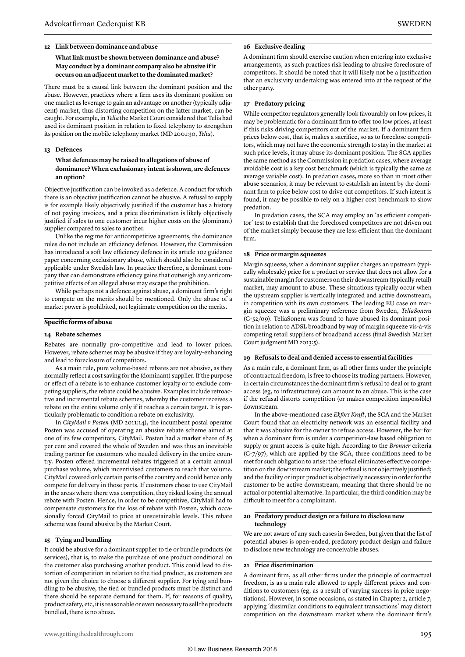#### **12 Link between dominance and abuse**

#### **What link must be shown between dominance and abuse? May conduct by a dominant company also be abusive if it occurs on an adjacent market to the dominated market?**

There must be a causal link between the dominant position and the abuse. However, practices where a firm uses its dominant position on one market as leverage to gain an advantage on another (typically adjacent) market, thus distorting competition on the latter market, can be caught. For example, in *Telia* the Market Court considered that Telia had used its dominant position in relation to fixed telephony to strengthen its position on the mobile telephony market (MD 2001:30, *Telia*).

#### **13 Defences**

#### **What defences may be raised to allegations of abuse of dominance? When exclusionary intent is shown, are defences an option?**

Objective justification can be invoked as a defence. A conduct for which there is an objective justification cannot be abusive. A refusal to supply is for example likely objectively justified if the customer has a history of not paying invoices, and a price discrimination is likely objectively justified if sales to one customer incur higher costs on the (dominant) supplier compared to sales to another.

Unlike the regime for anticompetitive agreements, the dominance rules do not include an efficiency defence. However, the Commission has introduced a soft law efficiency defence in its article 102 guidance paper concerning exclusionary abuse, which should also be considered applicable under Swedish law. In practice therefore, a dominant company that can demonstrate efficiency gains that outweigh any anticompetitive effects of an alleged abuse may escape the prohibition.

While perhaps not a defence against abuse, a dominant firm's right to compete on the merits should be mentioned. Only the abuse of a market power is prohibited, not legitimate competition on the merits.

#### **Specific forms of abuse**

#### **14 Rebate schemes**

Rebates are normally pro-competitive and lead to lower prices. However, rebate schemes may be abusive if they are loyalty-enhancing and lead to foreclosure of competitors.

As a main rule, pure volume-based rebates are not abusive, as they normally reflect a cost saving for the (dominant) supplier. If the purpose or effect of a rebate is to enhance customer loyalty or to exclude competing suppliers, the rebate could be abusive. Examples include retroactive and incremental rebate schemes, whereby the customer receives a rebate on the entire volume only if it reaches a certain target. It is particularly problematic to condition a rebate on exclusivity.

In *CityMail v Posten* (MD 2011:14), the incumbent postal operator Posten was accused of operating an abusive rebate scheme aimed at one of its few competitors, CityMail. Posten had a market share of 85 per cent and covered the whole of Sweden and was thus an inevitable trading partner for customers who needed delivery in the entire country. Posten offered incremental rebates triggered at a certain annual purchase volume, which incentivised customers to reach that volume. CityMail covered only certain parts of the country and could hence only compete for delivery in those parts. If customers chose to use CityMail in the areas where there was competition, they risked losing the annual rebate with Posten. Hence, in order to be competitive, CityMail had to compensate customers for the loss of rebate with Posten, which occasionally forced CityMail to price at unsustainable levels. This rebate scheme was found abusive by the Market Court.

#### **15 Tying and bundling**

It could be abusive for a dominant supplier to tie or bundle products (or services), that is, to make the purchase of one product conditional on the customer also purchasing another product. This could lead to distortion of competition in relation to the tied product, as customers are not given the choice to choose a different supplier. For tying and bundling to be abusive, the tied or bundled products must be distinct and there should be separate demand for them. If, for reasons of quality, product safety, etc, it is reasonable or even necessary to sell the products bundled, there is no abuse.

#### **16 Exclusive dealing**

A dominant firm should exercise caution when entering into exclusive arrangements, as such practices risk leading to abusive foreclosure of competitors. It should be noted that it will likely not be a justification that an exclusivity undertaking was entered into at the request of the other party.

#### **17 Predatory pricing**

While competitor regulators generally look favourably on low prices, it may be problematic for a dominant firm to offer too low prices, at least if this risks driving competitors out of the market. If a dominant firm prices below cost, that is, makes a sacrifice, so as to foreclose competitors, which may not have the economic strength to stay in the market at such price levels, it may abuse its dominant position. The SCA applies the same method as the Commission in predation cases, where average avoidable cost is a key cost benchmark (which is typically the same as average variable cost). In predation cases, more so than in most other abuse scenarios, it may be relevant to establish an intent by the dominant firm to price below cost to drive out competitors. If such intent is found, it may be possible to rely on a higher cost benchmark to show predation.

In predation cases, the SCA may employ an 'as efficient competitor' test to establish that the foreclosed competitors are not driven out of the market simply because they are less efficient than the dominant firm.

#### **18 Price or margin squeezes**

Margin squeeze, when a dominant supplier charges an upstream (typically wholesale) price for a product or service that does not allow for a sustainable margin for customers on their downstream (typically retail) market, may amount to abuse. These situations typically occur when the upstream supplier is vertically integrated and active downstream, in competition with its own customers. The leading EU case on margin squeeze was a preliminary reference from Sweden, *TeliaSonera* (C-52/09). TeliaSonera was found to have abused its dominant position in relation to ADSL broadband by way of margin squeeze vis-à-vis competing retail suppliers of broadband access (final Swedish Market Court judgment MD 2013:5).

#### **19 Refusals to deal and denied access to essential facilities**

As a main rule, a dominant firm, as all other firms under the principle of contractual freedom, is free to choose its trading partners. However, in certain circumstances the dominant firm's refusal to deal or to grant access (eg, to infrastructure) can amount to an abuse. This is the case if the refusal distorts competition (or makes competition impossible) downstream.

In the above-mentioned case *Ekfors Kraft*, the SCA and the Market Court found that an electricity network was an essential facility and that it was abusive for the owner to refuse access. However, the bar for when a dominant firm is under a competition-law based obligation to supply or grant access is quite high. According to the *Bronner* criteria (C-7/97), which are applied by the SCA, three conditions need to be met for such obligation to arise: the refusal eliminates effective competition on the downstream market; the refusal is not objectively justified; and the facility or input product is objectively necessary in order for the customer to be active downstream, meaning that there should be no actual or potential alternative. In particular, the third condition may be difficult to meet for a complainant.

#### **20 Predatory product design or a failure to disclose new technology**

We are not aware of any such cases in Sweden, but given that the list of potential abuses is open-ended, predatory product design and failure to disclose new technology are conceivable abuses.

#### **21 Price discrimination**

A dominant firm, as all other firms under the principle of contractual freedom, is as a main rule allowed to apply different prices and conditions to customers (eg, as a result of varying success in price negotiations). However, in some occasions, as stated in Chapter 2, article 7, applying 'dissimilar conditions to equivalent transactions' may distort competition on the downstream market where the dominant firm's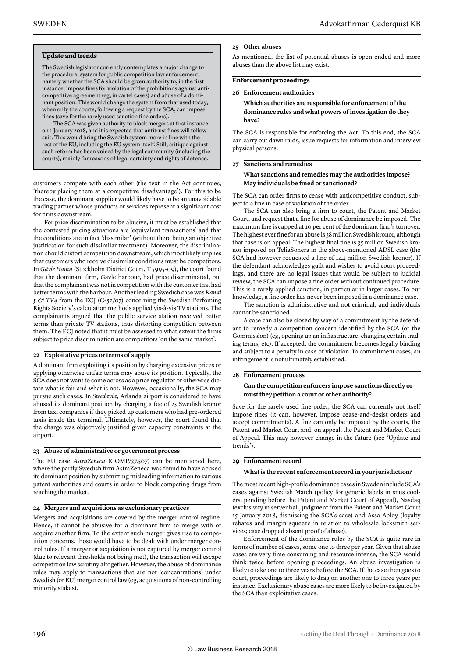#### **Update and trends**

The Swedish legislator currently contemplates a major change to the procedural system for public competition law enforcement, namely whether the SCA should be given authority to, in the first instance, impose fines for violation of the prohibitions against anticompetitive agreement (eg, in cartel cases) and abuse of a dominant position. This would change the system from that used today, when only the courts, following a request by the SCA, can impose fines (save for the rarely used sanction fine orders).

The SCA was given authority to block mergers at first instance on 1 January 2018, and it is expected that antitrust fines will follow suit. This would bring the Swedish system more in line with the rest of the EU, including the EU system itself. Still, critique against such reform has been voiced by the legal community (including the courts), mainly for reasons of legal certainty and rights of defence.

customers compete with each other (the text in the Act continues, 'thereby placing them at a competitive disadvantage'). For this to be the case, the dominant supplier would likely have to be an unavoidable trading partner whose products or services represent a significant cost for firms downstream.

For price discrimination to be abusive, it must be established that the contested pricing situations are 'equivalent transactions' and that the conditions are in fact 'dissimilar' (without there being an objective justification for such dissimilar treatment). Moreover, the discrimination should distort competition downstream, which most likely implies that customers who receive dissimilar conditions must be competitors. In *Gävle Hamn* (Stockholm District Court, T 5995-09), the court found that the dominant firm, Gävle harbour, had price discriminated, but that the complainant was not in competition with the customer that had better terms with the harbour. Another leading Swedish case was *Kanal 5 & TV4* from the ECJ (C-52/07) concerning the Swedish Perfoming Rights Society's calculation methods applied vis-à-vis TV stations. The complainants argued that the public service station received better terms than private TV stations, thus distorting competition between them. The ECJ noted that it must be assessed to what extent the firms subject to price discrimination are competitors 'on the same market'.

#### **22 Exploitative prices or terms of supply**

A dominant firm exploiting its position by charging excessive prices or applying otherwise unfair terms may abuse its position. Typically, the SCA does not want to come across as a price regulator or otherwise dictate what is fair and what is not. However, occasionally, the SCA may pursue such cases. In *Swedavia*, Arlanda airport is considered to have abused its dominant position by charging a fee of 25 Swedish kronor from taxi companies if they picked up customers who had pre-ordered taxis inside the terminal. Ultimately, however, the court found that the charge was objectively justified given capacity constraints at the airport.

#### **23 Abuse of administrative or government process**

The EU case *AstraZeneca* (COMP/37.507) can be mentioned here, where the partly Swedish firm AstraZeneca was found to have abused its dominant position by submitting misleading information to various patent authorities and courts in order to block competing drugs from reaching the market.

#### **24 Mergers and acquisitions as exclusionary practices**

Mergers and acquisitions are covered by the merger control regime. Hence, it cannot be abusive for a dominant firm to merge with or acquire another firm. To the extent such merger gives rise to competition concerns, those would have to be dealt with under merger control rules. If a merger or acquisition is not captured by merger control (due to relevant thresholds not being met), the transaction will escape competition law scrutiny altogether. However, the abuse of dominance rules may apply to transactions that are not 'concentrations' under Swedish (or EU) merger control law (eg, acquisitions of non-controlling minority stakes).

#### **25 Other abuses**

As mentioned, the list of potential abuses is open-ended and more abuses than the above list may exist.

#### **Enforcement proceedings**

#### **26 Enforcement authorities**

#### **Which authorities are responsible for enforcement of the dominance rules and what powers of investigation do they have?**

The SCA is responsible for enforcing the Act. To this end, the SCA can carry out dawn raids, issue requests for information and interview physical persons.

#### **27 Sanctions and remedies**

#### **What sanctions and remedies may the authorities impose? May individuals be fined or sanctioned?**

The SCA can order firms to cease with anticompetitive conduct, subject to a fine in case of violation of the order.

The SCA can also bring a firm to court, the Patent and Market Court, and request that a fine for abuse of dominance be imposed. The maximum fine is capped at 10 per cent of the dominant firm's turnover. The highest ever fine for an abuse is 38 million Swedish kronor, although that case is on appeal. The highest final fine is 35 million Swedish kronor imposed on TeliaSonera in the above-mentioned ADSL case (the SCA had however requested a fine of 144 million Swedish kronor). If the defendant acknowledges guilt and wishes to avoid court proceedings, and there are no legal issues that would be subject to judicial review, the SCA can impose a fine order without continued procedure. This is a rarely applied sanction, in particular in larger cases. To our knowledge, a fine order has never been imposed in a dominance case.

The sanction is administrative and not criminal, and individuals cannot be sanctioned.

A case can also be closed by way of a commitment by the defendant to remedy a competition concern identified by the SCA (or the Commission) (eg, opening up an infrastructure, changing certain trading terms, etc). If accepted, the commitment becomes legally binding and subject to a penalty in case of violation. In commitment cases, an infringement is not ultimately established.

#### **28 Enforcement process**

#### **Can the competition enforcers impose sanctions directly or must they petition a court or other authority?**

Save for the rarely used fine order, the SCA can currently not itself impose fines (it can, however, impose cease-and-desist orders and accept commitments). A fine can only be imposed by the courts, the Patent and Market Court and, on appeal, the Patent and Market Court of Appeal. This may however change in the future (see 'Update and trends').

#### **29 Enforcement record**

#### **What is the recent enforcement record in your jurisdiction?**

The most recent high-profile dominance cases in Sweden include SCA's cases against Swedish Match (policy for generic labels in snus coolers, pending before the Patent and Market Court of Appeal), Nasdaq (exclusivity in server hall, judgment from the Patent and Market Court 15 January 2018, dismissing the SCA's case) and Assa Abloy (loyalty rebates and margin squeeze in relation to wholesale locksmith services; case dropped absent proof of abuse).

Enforcement of the dominance rules by the SCA is quite rare in terms of number of cases, some one to three per year. Given that abuse cases are very time consuming and resource intense, the SCA would think twice before opening proceedings. An abuse investigation is likely to take one to three years before the SCA. If the case then goes to court, proceedings are likely to drag on another one to three years per instance. Exclusionary abuse cases are more likely to be investigated by the SCA than exploitative cases.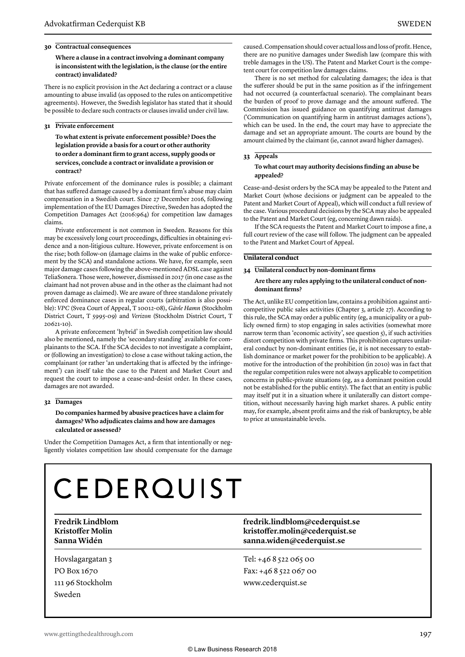#### **30 Contractual consequences**

**Where a clause in a contract involving a dominant company is inconsistent with the legislation, is the clause (or the entire contract) invalidated?** 

There is no explicit provision in the Act declaring a contract or a clause amounting to abuse invalid (as opposed to the rules on anticompetitive agreements). However, the Swedish legislator has stated that it should be possible to declare such contracts or clauses invalid under civil law.

#### **31 Private enforcement**

**To what extent is private enforcement possible? Does the legislation provide a basis for a court or other authority to order a dominant firm to grant access, supply goods or services, conclude a contract or invalidate a provision or contract?** 

Private enforcement of the dominance rules is possible; a claimant that has suffered damage caused by a dominant firm's abuse may claim compensation in a Swedish court. Since 27 December 2016, following implementation of the EU Damages Directive, Sweden has adopted the Competition Damages Act (2016:964) for competition law damages claims.

Private enforcement is not common in Sweden. Reasons for this may be excessively long court proceedings, difficulties in obtaining evidence and a non-litigious culture. However, private enforcement is on the rise; both follow-on (damage claims in the wake of public enforcement by the SCA) and standalone actions. We have, for example, seen major damage cases following the above-mentioned ADSL case against TeliaSonera. Those were, however, dismissed in 2017 (in one case as the claimant had not proven abuse and in the other as the claimant had not proven damage as claimed). We are aware of three standalone privately enforced dominance cases in regular courts (arbitration is also possible): *VPC* (Svea Court of Appeal, T 10012-08), *Gävle Hamn* (Stockholm District Court, T 5995-09) and *Verizon* (Stockholm District Court, T 20621-10).

A private enforcement 'hybrid' in Swedish competition law should also be mentioned, namely the 'secondary standing' available for complainants to the SCA. If the SCA decides to not investigate a complaint, or (following an investigation) to close a case without taking action, the complainant (or rather 'an undertaking that is affected by the infringement') can itself take the case to the Patent and Market Court and request the court to impose a cease-and-desist order. In these cases, damages are not awarded.

#### **32 Damages**

**Do companies harmed by abusive practices have a claim for damages? Who adjudicates claims and how are damages calculated or assessed?** 

Under the Competition Damages Act, a firm that intentionally or negligently violates competition law should compensate for the damage caused. Compensation should cover actual loss and loss of profit. Hence, there are no punitive damages under Swedish law (compare this with treble damages in the US). The Patent and Market Court is the competent court for competition law damages claims.

There is no set method for calculating damages; the idea is that the sufferer should be put in the same position as if the infringement had not occurred (a counterfactual scenario). The complainant bears the burden of proof to prove damage and the amount suffered. The Commission has issued guidance on quantifying antitrust damages ('Communication on quantifying harm in antitrust damages actions'), which can be used. In the end, the court may have to appreciate the damage and set an appropriate amount. The courts are bound by the amount claimed by the claimant (ie, cannot award higher damages).

#### **33 Appeals**

#### **To what court may authority decisions finding an abuse be appealed?**

Cease-and-desist orders by the SCA may be appealed to the Patent and Market Court (whose decisions or judgment can be appealed to the Patent and Market Court of Appeal), which will conduct a full review of the case. Various procedural decisions by the SCA may also be appealed to the Patent and Market Court (eg, concerning dawn raids).

If the SCA requests the Patent and Market Court to impose a fine, a full court review of the case will follow. The judgment can be appealed to the Patent and Market Court of Appeal.

#### **Unilateral conduct**

#### **34 Unilateral conduct by non-dominant firms**

#### **Are there any rules applying to the unilateral conduct of nondominant firms?**

The Act, unlike EU competition law, contains a prohibition against anticompetitive public sales activities (Chapter 3, article 27). According to this rule, the SCA may order a public entity (eg, a municipality or a publicly owned firm) to stop engaging in sales activities (somewhat more narrow term than 'economic activity', see question 5), if such activities distort competition with private firms. This prohibition captures unilateral conduct by non-dominant entities (ie, it is not necessary to establish dominance or market power for the prohibition to be applicable). A motive for the introduction of the prohibition (in 2010) was in fact that the regular competition rules were not always applicable to competition concerns in public-private situations (eg, as a dominant position could not be established for the public entity). The fact that an entity is public may itself put it in a situation where it unilaterally can distort competition, without necessarily having high market shares. A public entity may, for example, absent profit aims and the risk of bankruptcy, be able to price at unsustainable levels.

# **CEDERQUIST**

Hovslagargatan 3 PO Box 1670 111 96 Stockholm Sweden

**Fredrik Lindblom fredrik.lindblom@cederquist.se Kristoffer Molin kristoffer.molin@cederquist.se Sanna Widén sanna.widen@cederquist.se**

> Tel: +46 8 522 065 00 Fax: +46 8 522 067 00 www.cederquist.se